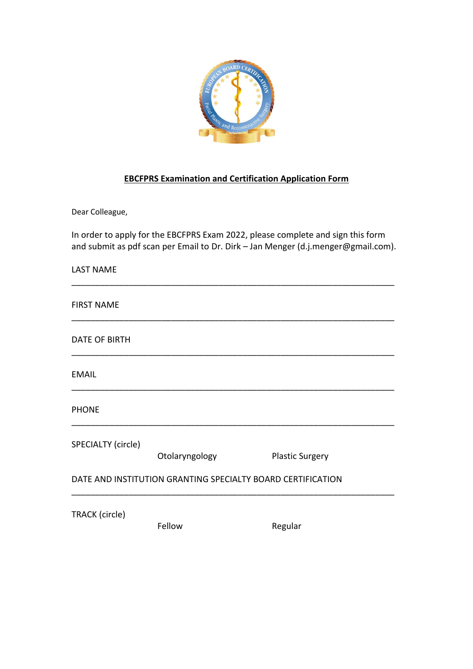

## **EBCFPRS Examination and Certification Application Form**

Dear Colleague,

In order to apply for the EBCFPRS Exam 2022, please complete and sign this form and submit as pdf scan per Email to Dr. Dirk - Jan Menger (d.j.menger@gmail.com).

| <b>LAST NAME</b>                                            |                |                        |
|-------------------------------------------------------------|----------------|------------------------|
| <b>FIRST NAME</b>                                           |                |                        |
| <b>DATE OF BIRTH</b>                                        |                |                        |
| <b>EMAIL</b>                                                |                |                        |
| <b>PHONE</b>                                                |                |                        |
| SPECIALTY (circle)                                          | Otolaryngology | <b>Plastic Surgery</b> |
| DATE AND INSTITUTION GRANTING SPECIALTY BOARD CERTIFICATION |                |                        |
| TRACK (circle)                                              | Fellow         | Regular                |